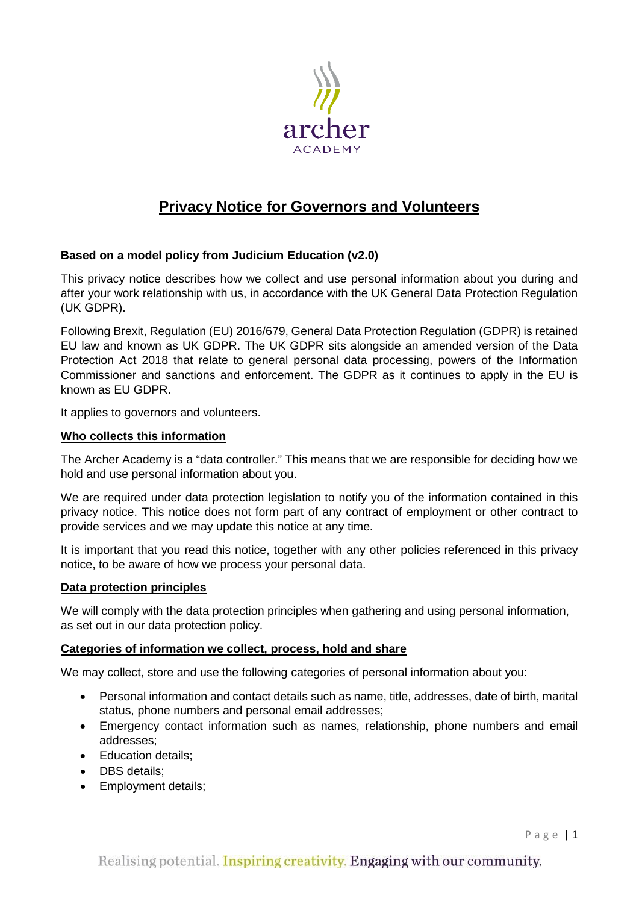

# **Privacy Notice for Governors and Volunteers**

# **Based on a model policy from Judicium Education (v2.0)**

This privacy notice describes how we collect and use personal information about you during and after your work relationship with us, in accordance with the UK General Data Protection Regulation (UK GDPR).

Following Brexit, Regulation (EU) 2016/679, General Data Protection Regulation (GDPR) is retained EU law and known as UK GDPR. The UK GDPR sits alongside an amended version of the Data Protection Act 2018 that relate to general personal data processing, powers of the Information Commissioner and sanctions and enforcement. The GDPR as it continues to apply in the EU is known as EU GDPR.

It applies to governors and volunteers.

## **Who collects this information**

The Archer Academy is a "data controller." This means that we are responsible for deciding how we hold and use personal information about you.

We are required under data protection legislation to notify you of the information contained in this privacy notice. This notice does not form part of any contract of employment or other contract to provide services and we may update this notice at any time.

It is important that you read this notice, together with any other policies referenced in this privacy notice, to be aware of how we process your personal data.

## **Data protection principles**

We will comply with the data protection principles when gathering and using personal information, as set out in our data protection policy.

## **Categories of information we collect, process, hold and share**

We may collect, store and use the following categories of personal information about you:

- Personal information and contact details such as name, title, addresses, date of birth, marital status, phone numbers and personal email addresses;
- Emergency contact information such as names, relationship, phone numbers and email addresses;
- Education details;
- DBS details;
- Employment details;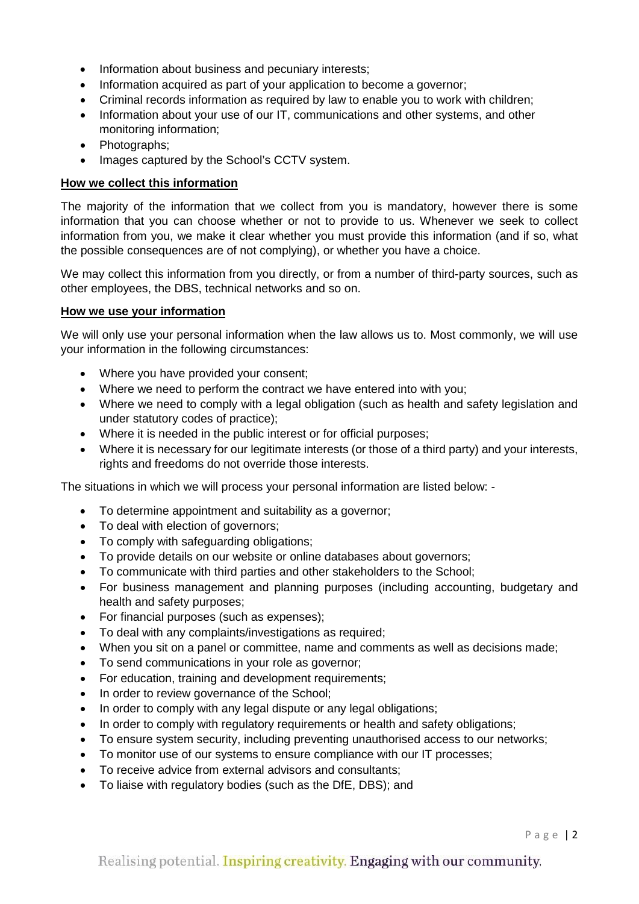- Information about business and pecuniary interests;
- Information acquired as part of your application to become a governor:
- Criminal records information as required by law to enable you to work with children;
- Information about your use of our IT, communications and other systems, and other monitoring information;
- Photographs;
- Images captured by the School's CCTV system.

#### **How we collect this information**

The majority of the information that we collect from you is mandatory, however there is some information that you can choose whether or not to provide to us. Whenever we seek to collect information from you, we make it clear whether you must provide this information (and if so, what the possible consequences are of not complying), or whether you have a choice.

We may collect this information from you directly, or from a number of third-party sources, such as other employees, the DBS, technical networks and so on.

#### **How we use your information**

We will only use your personal information when the law allows us to. Most commonly, we will use your information in the following circumstances:

- Where you have provided your consent;
- Where we need to perform the contract we have entered into with you;
- Where we need to comply with a legal obligation (such as health and safety legislation and under statutory codes of practice);
- Where it is needed in the public interest or for official purposes;
- Where it is necessary for our legitimate interests (or those of a third party) and your interests, rights and freedoms do not override those interests.

The situations in which we will process your personal information are listed below: -

- To determine appointment and suitability as a governor;
- To deal with election of governors;
- To comply with safeguarding obligations;
- To provide details on our website or online databases about governors;
- To communicate with third parties and other stakeholders to the School;
- For business management and planning purposes (including accounting, budgetary and health and safety purposes;
- For financial purposes (such as expenses);
- To deal with any complaints/investigations as required;
- When you sit on a panel or committee, name and comments as well as decisions made;
- To send communications in your role as governor;
- For education, training and development requirements;
- In order to review governance of the School;
- In order to comply with any legal dispute or any legal obligations;
- In order to comply with regulatory requirements or health and safety obligations;
- To ensure system security, including preventing unauthorised access to our networks;
- To monitor use of our systems to ensure compliance with our IT processes;
- To receive advice from external advisors and consultants;
- To liaise with regulatory bodies (such as the DfE, DBS); and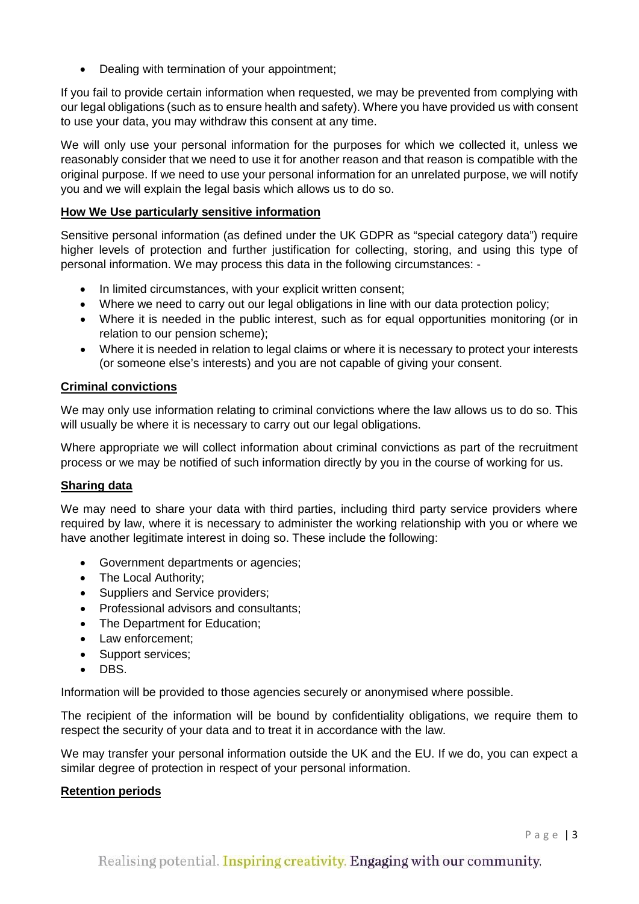• Dealing with termination of your appointment;

If you fail to provide certain information when requested, we may be prevented from complying with our legal obligations (such as to ensure health and safety). Where you have provided us with consent to use your data, you may withdraw this consent at any time.

We will only use your personal information for the purposes for which we collected it, unless we reasonably consider that we need to use it for another reason and that reason is compatible with the original purpose. If we need to use your personal information for an unrelated purpose, we will notify you and we will explain the legal basis which allows us to do so.

## **How We Use particularly sensitive information**

Sensitive personal information (as defined under the UK GDPR as "special category data") require higher levels of protection and further justification for collecting, storing, and using this type of personal information. We may process this data in the following circumstances: -

- In limited circumstances, with your explicit written consent;
- Where we need to carry out our legal obligations in line with our data protection policy;
- Where it is needed in the public interest, such as for equal opportunities monitoring (or in relation to our pension scheme);
- Where it is needed in relation to legal claims or where it is necessary to protect your interests (or someone else's interests) and you are not capable of giving your consent.

# **Criminal convictions**

We may only use information relating to criminal convictions where the law allows us to do so. This will usually be where it is necessary to carry out our legal obligations.

Where appropriate we will collect information about criminal convictions as part of the recruitment process or we may be notified of such information directly by you in the course of working for us.

## **Sharing data**

We may need to share your data with third parties, including third party service providers where required by law, where it is necessary to administer the working relationship with you or where we have another legitimate interest in doing so. These include the following:

- Government departments or agencies;
- The Local Authority;
- Suppliers and Service providers;
- Professional advisors and consultants;
- The Department for Education;
- Law enforcement;
- Support services:
- DBS.

Information will be provided to those agencies securely or anonymised where possible.

The recipient of the information will be bound by confidentiality obligations, we require them to respect the security of your data and to treat it in accordance with the law.

We may transfer your personal information outside the UK and the EU. If we do, you can expect a similar degree of protection in respect of your personal information.

## **Retention periods**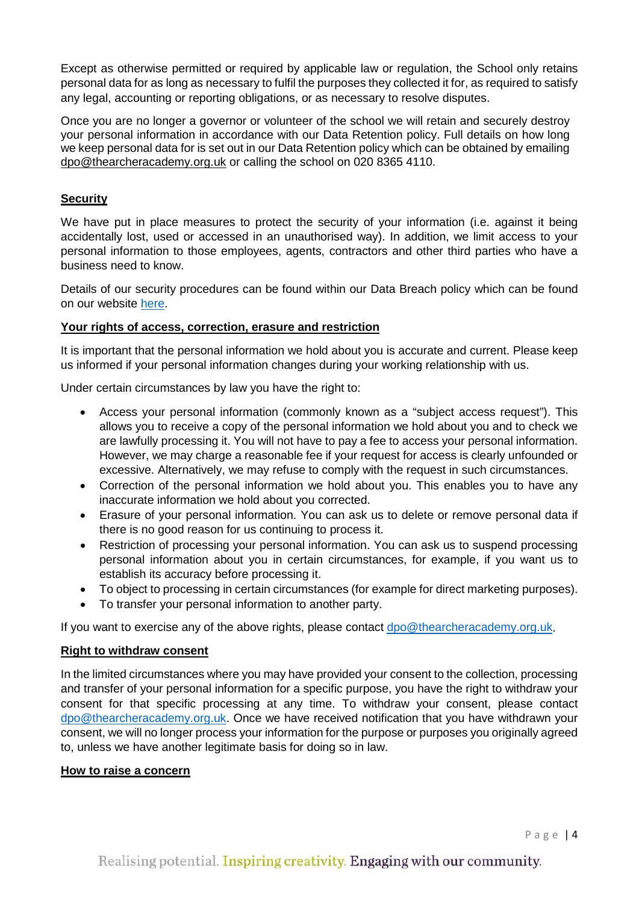Except as otherwise permitted or required by applicable law or regulation, the School only retains personal data for as long as necessary to fulfil the purposes they collected it for, as required to satisfy any legal, accounting or reporting obligations, or as necessary to resolve disputes.

Once you are no longer a governor or volunteer of the school we will retain and securely destroy your personal information in accordance with our Data Retention policy. Full details on how long we keep personal data for is set out in our Data Retention policy which can be obtained by emailing [dpo@thearcheracademy.org.uk](mailto:dpo@thearcheracademy.org.uk) or calling the school on 020 8365 4110.

# **Security**

We have put in place measures to protect the security of your information (i.e. against it being accidentally lost, used or accessed in an unauthorised way). In addition, we limit access to your personal information to those employees, agents, contractors and other third parties who have a business need to know.

Details of our security procedures can be found within our Data Breach policy which can be found on our website [here.](https://thearcheracademy.org.uk/data-protection/)

## **Your rights of access, correction, erasure and restriction**

It is important that the personal information we hold about you is accurate and current. Please keep us informed if your personal information changes during your working relationship with us.

Under certain circumstances by law you have the right to:

- Access your personal information (commonly known as a "subject access request"). This allows you to receive a copy of the personal information we hold about you and to check we are lawfully processing it. You will not have to pay a fee to access your personal information. However, we may charge a reasonable fee if your request for access is clearly unfounded or excessive. Alternatively, we may refuse to comply with the request in such circumstances.
- Correction of the personal information we hold about you. This enables you to have any inaccurate information we hold about you corrected.
- Erasure of your personal information. You can ask us to delete or remove personal data if there is no good reason for us continuing to process it.
- Restriction of processing your personal information. You can ask us to suspend processing personal information about you in certain circumstances, for example, if you want us to establish its accuracy before processing it.
- To object to processing in certain circumstances (for example for direct marketing purposes).
- To transfer your personal information to another party.

If you want to exercise any of the above rights, please contact [dpo@thearcheracademy.org.uk.](mailto:dpo@thearcheracademy.org.uk)

## **Right to withdraw consent**

In the limited circumstances where you may have provided your consent to the collection, processing and transfer of your personal information for a specific purpose, you have the right to withdraw your consent for that specific processing at any time. To withdraw your consent, please contact [dpo@thearcheracademy.org.uk.](mailto:dpo@thearcheracademy.org.uk) Once we have received notification that you have withdrawn your consent, we will no longer process your information for the purpose or purposes you originally agreed to, unless we have another legitimate basis for doing so in law.

#### **How to raise a concern**